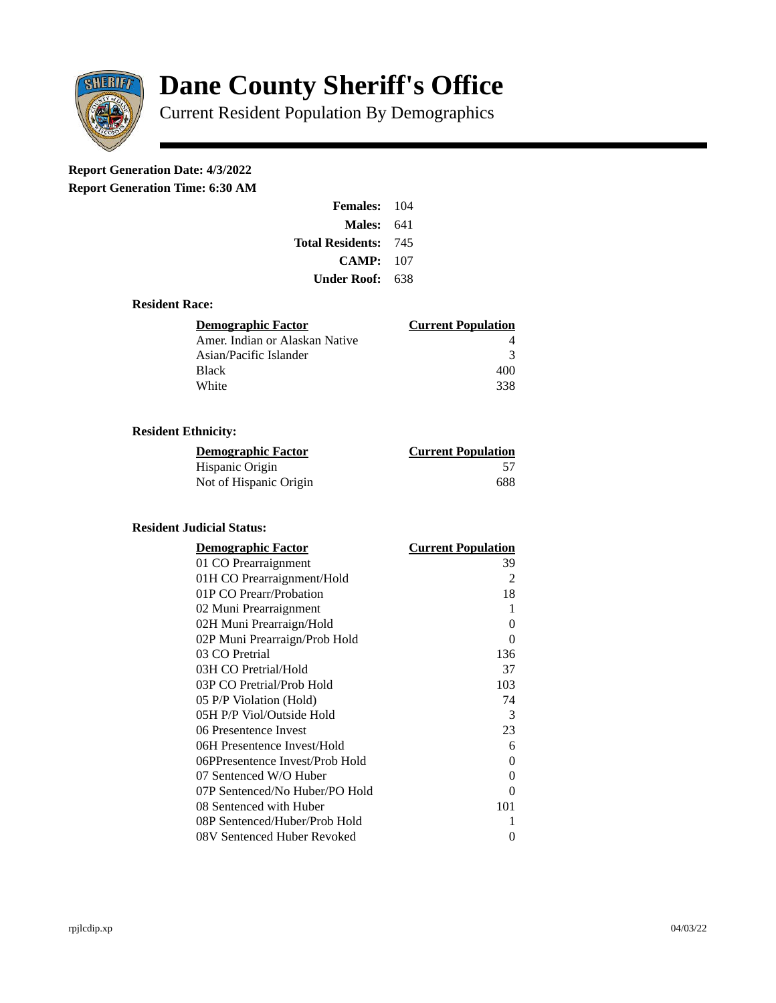

# **Dane County Sheriff's Office**

Current Resident Population By Demographics

# **Report Generation Date: 4/3/2022**

**Report Generation Time: 6:30 AM** 

| <b>Females: 104</b>         |     |
|-----------------------------|-----|
| Males:                      | 641 |
| <b>Total Residents: 745</b> |     |
| CAMP:                       | 107 |
| Under Roof:                 | 638 |

# **Resident Race:**

| <b>Demographic Factor</b>      | <b>Current Population</b> |
|--------------------------------|---------------------------|
| Amer. Indian or Alaskan Native |                           |
| Asian/Pacific Islander         | २                         |
| Black                          | 400                       |
| White                          | 338                       |

# **Resident Ethnicity:**

| <u> Demographic Factor</u> | <b>Current Population</b> |
|----------------------------|---------------------------|
| Hispanic Origin            |                           |
| Not of Hispanic Origin     | 688                       |

#### **Resident Judicial Status:**

| <b>Demographic Factor</b>       | <b>Current Population</b> |
|---------------------------------|---------------------------|
| 01 CO Prearraignment            | 39                        |
| 01H CO Prearraignment/Hold      | 2                         |
| 01P CO Prearr/Probation         | 18                        |
| 02 Muni Prearraignment          | 1                         |
| 02H Muni Prearraign/Hold        | 0                         |
| 02P Muni Prearraign/Prob Hold   | 0                         |
| 03 CO Pretrial                  | 136                       |
| 03H CO Pretrial/Hold            | 37                        |
| 03P CO Pretrial/Prob Hold       | 103                       |
| 05 P/P Violation (Hold)         | 74                        |
| 05H P/P Viol/Outside Hold       | 3                         |
| 06 Presentence Invest           | 23                        |
| 06H Presentence Invest/Hold     | 6                         |
| 06PPresentence Invest/Prob Hold | 0                         |
| 07 Sentenced W/O Huber          | 0                         |
| 07P Sentenced/No Huber/PO Hold  | 0                         |
| 08 Sentenced with Huber         | 101                       |
| 08P Sentenced/Huber/Prob Hold   | 1                         |
| 08V Sentenced Huber Revoked     | 0                         |